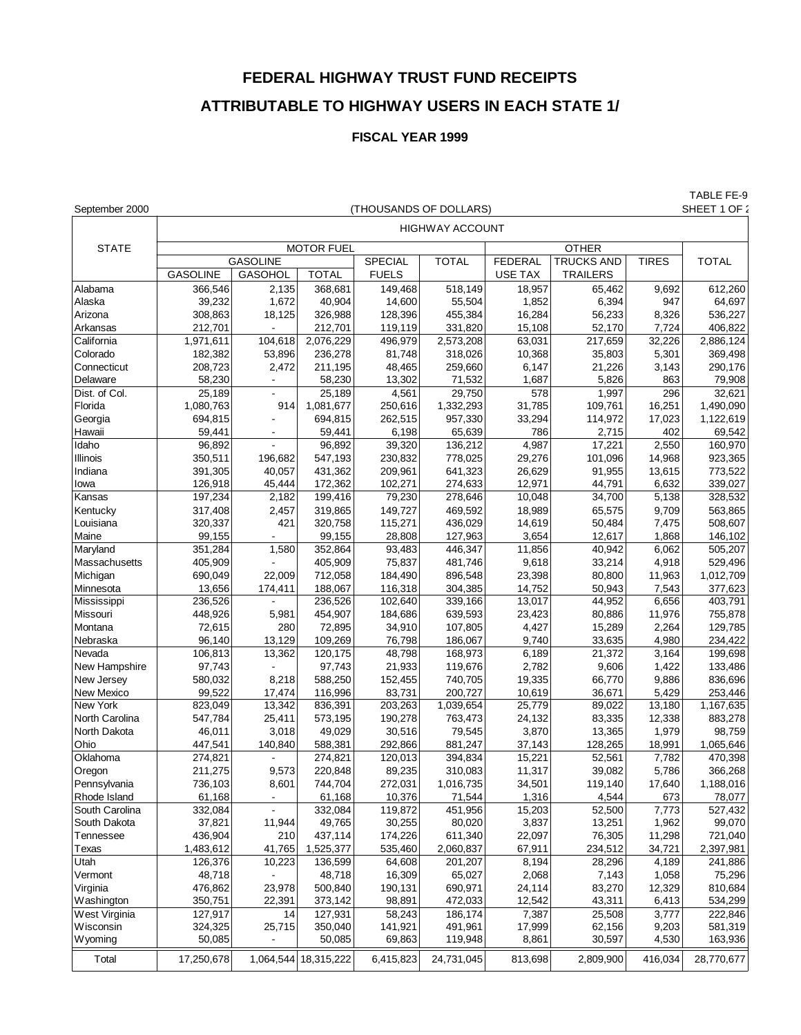## **FEDERAL HIGHWAY TRUST FUND RECEIPTS**

## **ATTRIBUTABLE TO HIGHWAY USERS IN EACH STATE 1/**

#### **FISCAL YEAR 1999**

| September 2000 | TABLE FE-9<br>(THOUSANDS OF DOLLARS)   |                          |                      |                   |                    |                |                                   |              |                    |  |  |
|----------------|----------------------------------------|--------------------------|----------------------|-------------------|--------------------|----------------|-----------------------------------|--------------|--------------------|--|--|
|                | SHEET 1 OF 2<br><b>HIGHWAY ACCOUNT</b> |                          |                      |                   |                    |                |                                   |              |                    |  |  |
|                |                                        |                          |                      |                   |                    |                |                                   |              |                    |  |  |
| <b>STATE</b>   | <b>GASOLINE</b>                        |                          | <b>MOTOR FUEL</b>    | <b>SPECIAL</b>    | <b>TOTAL</b>       | <b>FEDERAL</b> | <b>OTHER</b><br><b>TRUCKS AND</b> | <b>TIRES</b> | <b>TOTAL</b>       |  |  |
|                | <b>GASOLINE</b>                        | <b>GASOHOL</b>           | <b>TOTAL</b>         | <b>FUELS</b>      |                    | USE TAX        | <b>TRAILERS</b>                   |              |                    |  |  |
| Alabama        | 366,546                                | 2,135                    | 368,681              | 149,468           | 518,149            | 18,957         | 65,462                            | 9,692        | 612,260            |  |  |
| Alaska         | 39,232                                 | 1,672                    | 40,904               | 14,600            | 55,504             | 1,852          | 6,394                             | 947          | 64,697             |  |  |
| Arizona        | 308,863                                | 18,125                   | 326,988              | 128,396           | 455,384            | 16,284         | 56,233                            | 8,326        | 536,227            |  |  |
| Arkansas       | 212,701                                |                          | 212,701              | 119,119           | 331,820            | 15,108         | 52,170                            | 7,724        | 406,822            |  |  |
| California     | 1,971,611                              | 104,618                  | 2,076,229            | 496,979           | 2,573,208          | 63,031         | 217,659                           | 32,226       | 2,886,124          |  |  |
| Colorado       | 182,382                                | 53,896                   | 236,278              | 81,748            | 318,026            | 10,368         | 35,803                            | 5,301        | 369,498            |  |  |
| Connecticut    | 208,723                                | 2,472                    | 211,195              | 48,465            | 259,660            | 6,147          | 21,226                            | 3,143        | 290,176            |  |  |
| Delaware       | 58,230                                 | $\overline{\phantom{a}}$ | 58,230               | 13,302            | 71,532             | 1,687          | 5,826                             | 863          | 79,908             |  |  |
| Dist. of Col.  | 25,189                                 | L.                       | 25,189               | 4,561             | 29,750             | 578            | 1,997                             | 296          | 32,621             |  |  |
| Florida        | 1,080,763                              | 914                      | 1,081,677            | 250,616           | 1,332,293          | 31,785         | 109,761                           | 16,251       | 1,490,090          |  |  |
| Georgia        | 694,815                                |                          | 694,815              | 262,515           | 957,330            | 33,294         | 114,972                           | 17,023       | 1,122,619          |  |  |
| Hawaii         | 59,441                                 |                          | 59,441               | 6,198             | 65,639             | 786            | 2,715                             | 402          | 69,542             |  |  |
| Idaho          | 96,892                                 |                          | 96,892               | 39,320            | 136,212            | 4,987          | 17,221                            | 2,550        | 160,970            |  |  |
| Illinois       | 350,511                                | 196,682                  | 547,193              | 230,832           | 778,025            | 29,276         | 101,096                           | 14,968       | 923,365            |  |  |
| Indiana        | 391,305                                | 40,057                   | 431,362              | 209,961           | 641,323            | 26,629         | 91,955                            | 13,615       | 773,522            |  |  |
| lowa           | 126,918                                | 45,444                   | 172,362              | 102,271           | 274,633            | 12,971         | 44,791                            | 6,632        | 339,027            |  |  |
| Kansas         | 197,234                                | 2,182                    | 199,416              | 79,230            | 278,646            | 10,048         | 34,700                            | 5,138        | 328,532            |  |  |
| Kentucky       | 317,408                                | 2,457                    | 319,865              | 149,727           | 469,592            | 18,989         | 65,575                            | 9,709        | 563,865            |  |  |
| Louisiana      | 320,337                                | 421                      | 320,758              | 115,271           | 436,029            | 14,619         | 50,484                            | 7,475        | 508,607            |  |  |
| Maine          | 99,155                                 |                          | 99,155               | 28,808            | 127,963            | 3,654          | 12,617                            | 1,868        | 146,102            |  |  |
| Maryland       | 351,284                                | 1,580                    | 352,864              | 93,483            | 446,347            | 11,856         | 40,942                            | 6,062        | 505,207            |  |  |
| Massachusetts  | 405,909                                |                          | 405,909              | 75,837            | 481,746            | 9,618          | 33,214                            | 4,918        | 529,496            |  |  |
| Michigan       | 690,049                                | 22,009                   | 712,058              | 184,490           | 896,548            | 23,398         | 80,800                            | 11,963       | 1,012,709          |  |  |
| Minnesota      | 13,656                                 | 174,411                  | 188,067              | 116,318           | 304,385            | 14,752         | 50,943                            | 7,543        | 377,623            |  |  |
| Mississippi    | 236,526                                |                          | 236,526              | 102,640           | 339,166            | 13,017         | 44,952                            | 6,656        | 403,791            |  |  |
| Missouri       | 448,926                                | 5,981                    | 454,907              | 184,686           | 639,593            | 23,423         | 80,886                            | 11,976       | 755,878            |  |  |
| Montana        | 72,615                                 | 280                      | 72,895               | 34,910            | 107,805            | 4,427          | 15,289                            | 2,264        | 129,785            |  |  |
| Nebraska       | 96,140                                 | 13,129                   | 109,269              | 76,798            | 186,067            | 9,740          | 33,635                            | 4,980        | 234,422            |  |  |
| Nevada         | 106,813                                | 13,362                   | 120,175              | 48,798            | 168,973            | 6,189          | 21,372                            | 3,164        | 199,698            |  |  |
| New Hampshire  | 97,743                                 |                          | 97,743               | 21,933            | 119,676            | 2,782          | 9,606                             | 1,422        | 133,486            |  |  |
| New Jersey     | 580,032                                | 8,218                    | 588,250              | 152,455           | 740,705            | 19,335         | 66,770                            | 9,886        | 836,696            |  |  |
| New Mexico     | 99,522                                 | 17,474                   | 116,996              | 83,731            | 200,727            | 10,619         | 36,671                            | 5,429        | 253,446            |  |  |
| New York       | 823,049                                | 13,342                   | 836,391              | 203,263           | 1,039,654          | 25,779         | 89,022                            | 13,180       | 1,167,635          |  |  |
| North Carolina | 547,784                                | 25,411                   | 573,195              | 190,278           | 763,473            | 24,132         | 83,335                            | 12,338       | 883,278            |  |  |
| North Dakota   | 46,011                                 | 3,018                    | 49,029               | 30,516            | 79,545             | 3,870          | 13,365                            | 1,979        | 98,759             |  |  |
| Ohio           | 447,541                                | 140,840                  | 588,381              | 292,866           | 881,247            | 37,143         | 128,265                           | 18,991       | 1,065,646          |  |  |
| Oklahoma       | 274,821                                |                          | 274,821              | 120,013           | 394,834            | 15,221         | 52,561                            | 7,782        | 470,398            |  |  |
| Oregon         | 211,275                                | 9,573                    | 220,848              | 89,235            | 310,083            | 11,317         | 39,082                            | 5,786        | 366,268            |  |  |
| Pennsylvania   | 736,103                                | 8,601                    | 744,704              | 272,031           | 1,016,735          | 34,501         | 119,140                           | 17,640       | 1,188,016          |  |  |
| Rhode Island   | 61,168                                 |                          | 61,168               | 10,376            | 71,544             | 1,316          | 4,544                             | 673          | 78,077             |  |  |
| South Carolina | 332,084                                | $\blacksquare$           | 332,084              | 119,872           | 451,956            | 15,203         | 52,500                            | 7,773        | 527,432            |  |  |
| South Dakota   | 37,821                                 | 11,944                   | 49,765               | 30,255            | 80,020             | 3,837          | 13,251                            | 1,962        | 99,070             |  |  |
| Tennessee      | 436,904                                | 210                      | 437,114              | 174,226           | 611,340            | 22,097         | 76,305                            | 11,298       | 721,040            |  |  |
| Texas          | 1,483,612                              | 41,765                   | 1,525,377            | 535,460           | 2,060,837          | 67,911         | 234,512                           | 34,721       | 2,397,981          |  |  |
| Utah           | 126,376                                | 10,223                   | 136,599              | 64,608            | 201,207            | 8,194          | 28,296                            | 4,189        | 241,886            |  |  |
| Vermont        | 48,718                                 | $\blacksquare$           | 48,718               | 16,309            | 65,027             | 2,068          | 7,143                             | 1,058        | 75,296             |  |  |
| Virginia       | 476,862                                | 23,978                   | 500,840              | 190,131           | 690,971            | 24,114         | 83,270                            | 12,329       | 810,684            |  |  |
| Washington     | 350,751                                | 22,391                   | 373,142              | 98,891            | 472,033            | 12,542         | 43,311                            | 6,413        | 534,299            |  |  |
| West Virginia  | 127,917                                | 14                       | 127,931              | 58,243            | 186,174            | 7,387          | 25,508                            | 3,777        | 222,846            |  |  |
| Wisconsin      | 324,325<br>50,085                      | 25,715                   | 350,040<br>50,085    | 141,921<br>69,863 | 491,961<br>119,948 | 17,999         | 62,156                            | 9,203        | 581,319<br>163,936 |  |  |
| <b>Wyoming</b> |                                        |                          |                      |                   |                    | 8,861          | 30,597                            | 4,530        |                    |  |  |
| Total          | 17,250,678                             |                          | 1,064,544 18,315,222 | 6,415,823         | 24,731,045         | 813,698        | 2,809,900                         | 416,034      | 28,770,677         |  |  |